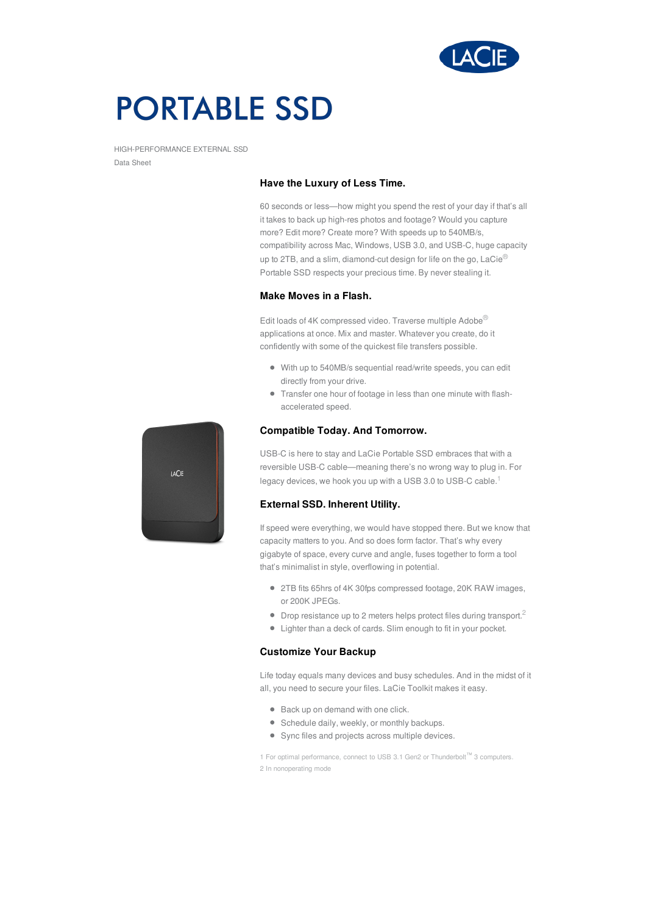

# **PORTABLE SSD**

HIGH-PERFORMANCE EXTERNAL SSD Data Sheet

# **Have the Luxury of Less Time.**

60 seconds or less—how might you spend the rest of your day if that's all it takes to back up high-res photos and footage? Would you capture more? Edit more? Create more? With speeds up to 540MB/s, compatibility across Mac, Windows, USB 3.0, and USB-C, huge capacity up to 2TB, and a slim, diamond-cut design for life on the go,  $\text{LaCie}^{\textcircled{\tiny{\textregistered}}\textcircled{\tiny{\textbackslash}}}$ Portable SSD respects your precious time. By never stealing it.

# **Make Moves in a Flash.**

Edit loads of 4K compressed video. Traverse multiple Adobe® applications at once. Mix and master. Whatever you create, do it confidently with some of the quickest file transfers possible.

- With up to 540MB/s sequential read/write speeds, you can edit directly from your drive.
- Transfer one hour of footage in less than one minute with flashaccelerated speed.

### **Compatible Today. And Tomorrow.**

**LACIE** 

USB-C is here to stay and LaCie Portable SSD embraces that with a reversible USB-C cable—meaning there's no wrong way to plug in. For legacy devices, we hook you up with a USB 3.0 to USB-C cable.<sup>1</sup>

# **External SSD. Inherent Utility.**

If speed were everything, we would have stopped there. But we know that capacity matters to you. And so does form factor. That's why every gigabyte of space, every curve and angle, fuses together to form a tool that's minimalist in style, overflowing in potential.

- 2TB fits 65hrs of 4K 30fps compressed footage, 20K RAW images, or 200K JPEGs.
- $\bullet$  Drop resistance up to 2 meters helps protect files during transport.<sup>2</sup>
- Lighter than a deck of cards. Slim enough to fit in your pocket.

### **Customize Your Backup**

Life today equals many devices and busy schedules. And in the midst of it all, you need to secure your files. LaCie Toolkit makes it easy.

- Back up on demand with one click.
- Schedule daily, weekly, or monthly backups.
- Sync files and projects across multiple devices.

1 For optimal performance, connect to USB 3.1 Gen2 or Thunderbolt™ 3 computers. 2 In nonoperating mode